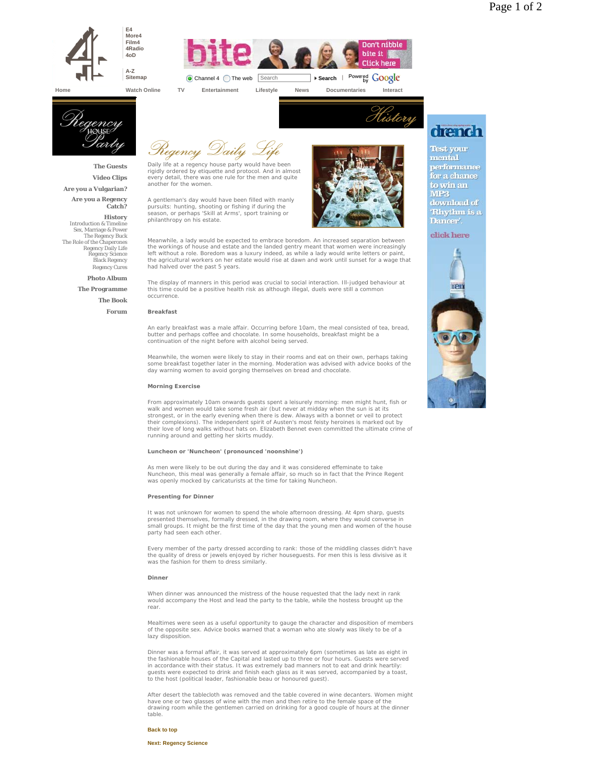



**Home Watch Online TV Entertainment Lifestyle News Documentaries Interact**



**The Guests Video Clips**

**Are you a Vulgarian?**

**Are you a Regency Catch?**

**History** Introduction & Timeline Sex, Marriage & Power The Regency Buck The Role of the Chaperones Regency Daily Life Regency Science Black Regency Regency Cures

# **Photo Album**

**The Programme**

**The Book Forum**

Regency Daily

Daily life at a regency house party would have been rigidly ordered by etiquette and protocol. And in almost every detail, there was one rule for the men and quite another for the women.

A gentleman's day would have been filled with manly pursuits: hunting, shooting or fishing if during the season, or perhaps 'Skill at Arms', sport training or philanthropy on his estate.



History

Meanwhile, a lady would be expected to embrace boredom. An increased separation between the workings of house and estate and the landed gentry meant that women were increasingly left without a role. Boredom was a luxury indeed, as while a lady would write letters or paint the agricultural workers on her estate would rise at dawn and work until sunset for a wage that had halved over the past 5 years.

The display of manners in this period was crucial to social interaction. Ill-judged behaviour at this time could be a positive health risk as although illegal, duels were still a common occurrence.

## **Breakfast**

An early breakfast was a male affair. Occurring before 10am, the meal consisted of tea, bread, butter and perhaps coffee and chocolate. In some households, breakfast might be a continuation of the night before with alcohol being served.

Meanwhile, the women were likely to stay in their rooms and eat on their own, perhaps taking some breakfast together later in the morning. Moderation was advised with advice books of the day warning women to avoid gorging themselves on bread and chocolate.

# **Morning Exercise**

From approximately 10am onwards guests spent a leisurely morning: men might hunt, fish or walk and women would take some fresh air (but never at midday when the sun is at its strongest, or in the early evening when there is dew. Always with a bonnet or veil to protect their complexions). The independent spirit of Austen's most feisty heroines is marked out by their love of long walks without hats on. Elizabeth Bennet even committed the ultimate crime of running around and getting her skirts muddy.

#### **Luncheon or 'Nuncheon' (pronounced 'noonshine')**

As men were likely to be out during the day and it was considered effeminate to take Nuncheon, this meal was generally a female affair, so much so in fact that the Prince Regent was openly mocked by caricaturists at the time for taking Nuncheon.

## **Presenting for Dinner**

It was not unknown for women to spend the whole afternoon dressing. At 4pm sharp, guests presented themselves, formally dressed, in the drawing room, where they would converse in small groups. It might be the first time of the day that the young men and women of the house party had seen each other.

Every member of the party dressed according to rank: those of the middling classes didn't have the quality of dress or jewels enjoyed by richer houseguests. For men this is less divisive as it was the fashion for them to dress similarly.

# **Dinner**

When dinner was announced the mistress of the house requested that the lady next in rank would accompany the Host and lead the party to the table, while the hostess brought up the rear.

Mealtimes were seen as a useful opportunity to gauge the character and disposition of members of the opposite sex. Advice books warned that a woman who ate slowly was likely to be of a lazy disposition.

Dinner was a formal affair, it was served at approximately 6pm (sometimes as late as eight in the fashionable houses of the Capital and lasted up to three or four hours. Guests were served in accordance with their status. It was extremely bad manners not to eat and drink heartily: guests were expected to drink and finish each glass as it was served, accompanied by a toast, to the host (political leader, fashionable beau or honoured guest).

After desert the tablecloth was removed and the table covered in wine decanters. Women might have one or two glasses of wine with the men and then retire to the female space of the drawing room while the gentlemen carried on drinking for a good couple of hours at the dinner table.

#### **Back to top**

**Next: Regency Science**

# drench

**Test your**<br>mental performance for a chance to win an  $MP3$ download of Rhythm is a Dancer'.

click here